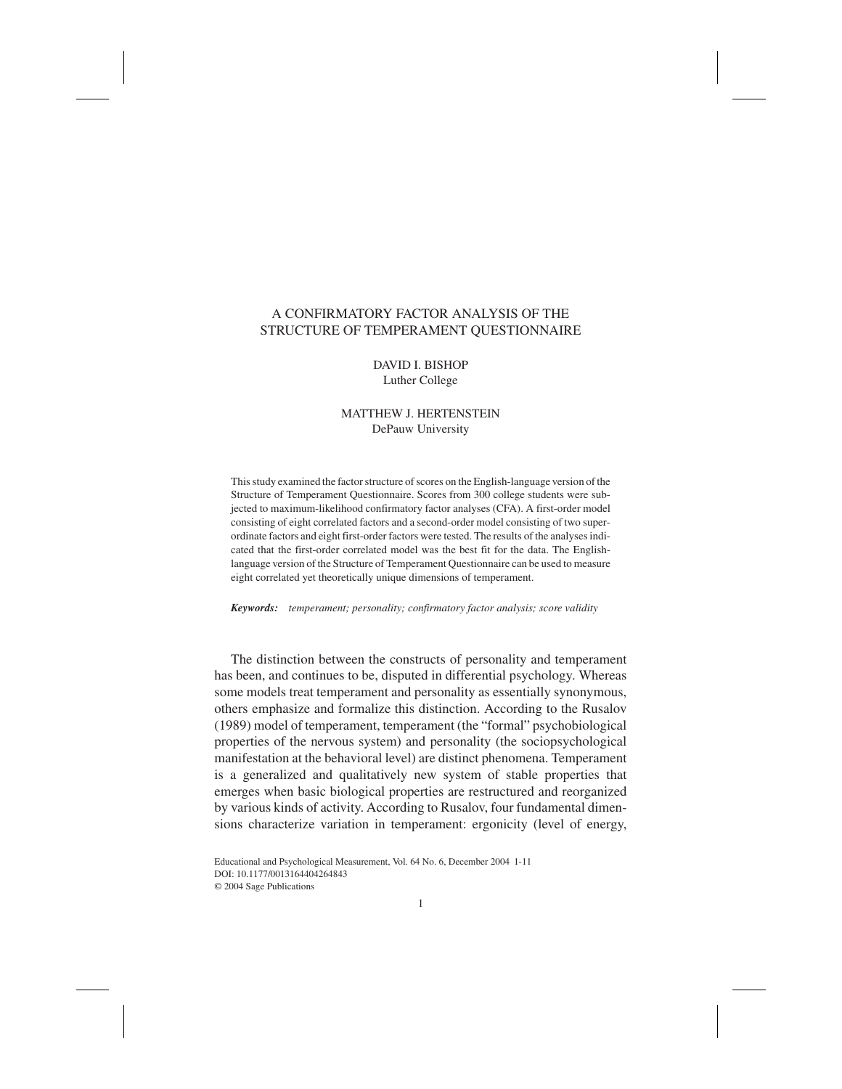# A CONFIRMATORY FACTOR ANALYSIS OF THE STRUCTURE OF TEMPERAMENT QUESTIONNAIRE

DAVID I. BISHOP Luther College

# MATTHEW J. HERTENSTEIN DePauw University

This study examined the factor structure of scores on the English-language version of the Structure of Temperament Questionnaire. Scores from 300 college students were subjected to maximum-likelihood confirmatory factor analyses (CFA). A first-order model consisting of eight correlated factors and a second-order model consisting of two superordinate factors and eight first-order factors were tested. The results of the analyses indicated that the first-order correlated model was the best fit for the data. The Englishlanguage version of the Structure of Temperament Questionnaire can be used to measure eight correlated yet theoretically unique dimensions of temperament.

*Keywords: temperament; personality; confirmatory factor analysis; score validity*

The distinction between the constructs of personality and temperament has been, and continues to be, disputed in differential psychology. Whereas some models treat temperament and personality as essentially synonymous, others emphasize and formalize this distinction. According to the Rusalov (1989) model of temperament, temperament (the "formal" psychobiological properties of the nervous system) and personality (the sociopsychological manifestation at the behavioral level) are distinct phenomena. Temperament is a generalized and qualitatively new system of stable properties that emerges when basic biological properties are restructured and reorganized by various kinds of activity. According to Rusalov, four fundamental dimensions characterize variation in temperament: ergonicity (level of energy,

Educational and Psychological Measurement, Vol. 64 No. 6, December 2004 1-11 DOI: 10.1177/0013164404264843 © 2004 Sage Publications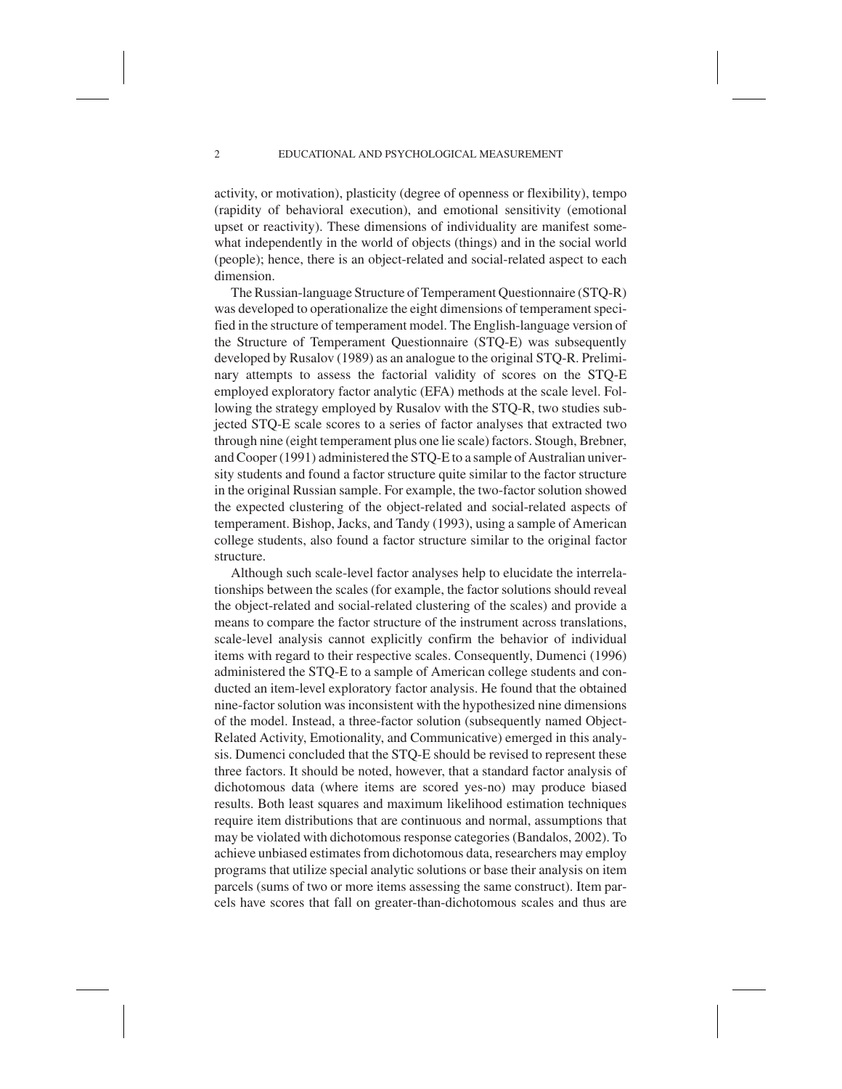#### 2 EDUCATIONAL AND PSYCHOLOGICAL MEASUREMENT

activity, or motivation), plasticity (degree of openness or flexibility), tempo (rapidity of behavioral execution), and emotional sensitivity (emotional upset or reactivity). These dimensions of individuality are manifest somewhat independently in the world of objects (things) and in the social world (people); hence, there is an object-related and social-related aspect to each dimension.

The Russian-language Structure of Temperament Questionnaire (STQ-R) was developed to operationalize the eight dimensions of temperament specified in the structure of temperament model. The English-language version of the Structure of Temperament Questionnaire (STQ-E) was subsequently developed by Rusalov (1989) as an analogue to the original STQ-R. Preliminary attempts to assess the factorial validity of scores on the STQ-E employed exploratory factor analytic (EFA) methods at the scale level. Following the strategy employed by Rusalov with the STQ-R, two studies subjected STQ-E scale scores to a series of factor analyses that extracted two through nine (eight temperament plus one lie scale) factors. Stough, Brebner, and Cooper (1991) administered the STQ-E to a sample of Australian university students and found a factor structure quite similar to the factor structure in the original Russian sample. For example, the two-factor solution showed the expected clustering of the object-related and social-related aspects of temperament. Bishop, Jacks, and Tandy (1993), using a sample of American college students, also found a factor structure similar to the original factor structure.

Although such scale-level factor analyses help to elucidate the interrelationships between the scales (for example, the factor solutions should reveal the object-related and social-related clustering of the scales) and provide a means to compare the factor structure of the instrument across translations, scale-level analysis cannot explicitly confirm the behavior of individual items with regard to their respective scales. Consequently, Dumenci (1996) administered the STQ-E to a sample of American college students and conducted an item-level exploratory factor analysis. He found that the obtained nine-factor solution was inconsistent with the hypothesized nine dimensions of the model. Instead, a three-factor solution (subsequently named Object-Related Activity, Emotionality, and Communicative) emerged in this analysis. Dumenci concluded that the STQ-E should be revised to represent these three factors. It should be noted, however, that a standard factor analysis of dichotomous data (where items are scored yes-no) may produce biased results. Both least squares and maximum likelihood estimation techniques require item distributions that are continuous and normal, assumptions that may be violated with dichotomous response categories (Bandalos, 2002). To achieve unbiased estimates from dichotomous data, researchers may employ programs that utilize special analytic solutions or base their analysis on item parcels (sums of two or more items assessing the same construct). Item parcels have scores that fall on greater-than-dichotomous scales and thus are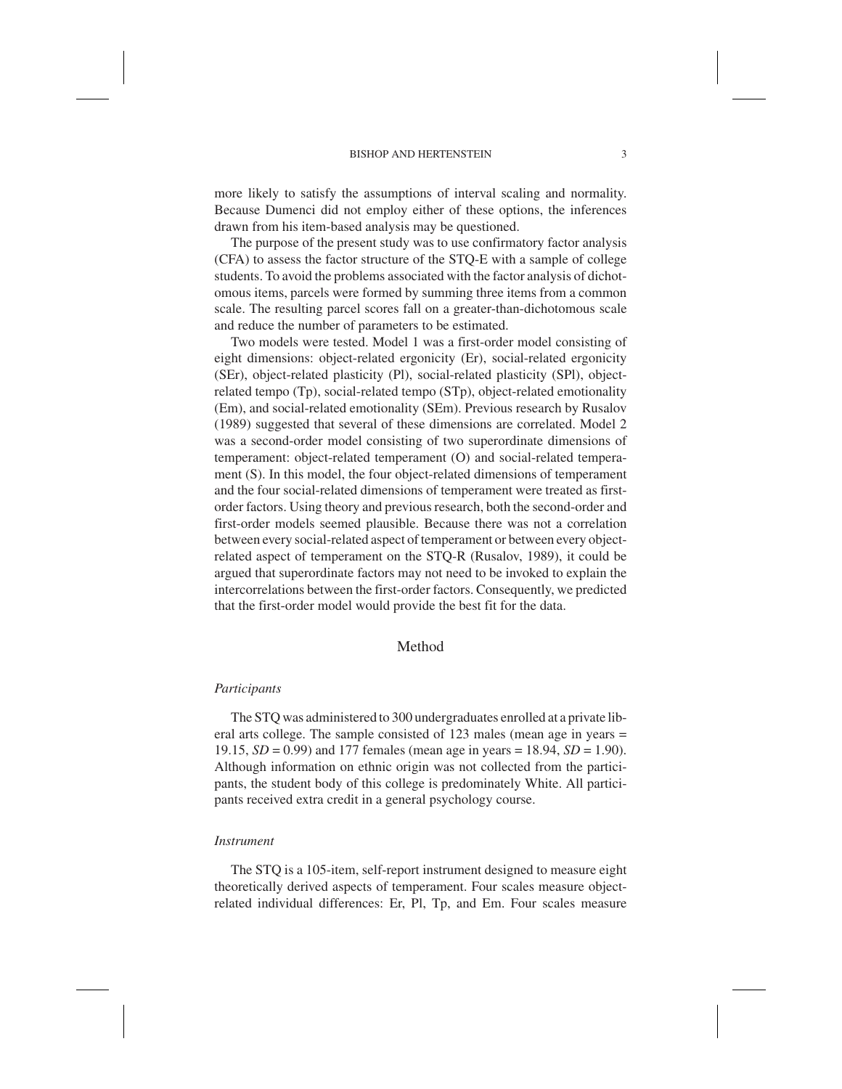more likely to satisfy the assumptions of interval scaling and normality. Because Dumenci did not employ either of these options, the inferences drawn from his item-based analysis may be questioned.

The purpose of the present study was to use confirmatory factor analysis (CFA) to assess the factor structure of the STQ-E with a sample of college students. To avoid the problems associated with the factor analysis of dichotomous items, parcels were formed by summing three items from a common scale. The resulting parcel scores fall on a greater-than-dichotomous scale and reduce the number of parameters to be estimated.

Two models were tested. Model 1 was a first-order model consisting of eight dimensions: object-related ergonicity (Er), social-related ergonicity (SEr), object-related plasticity (Pl), social-related plasticity (SPl), objectrelated tempo (Tp), social-related tempo (STp), object-related emotionality (Em), and social-related emotionality (SEm). Previous research by Rusalov (1989) suggested that several of these dimensions are correlated. Model 2 was a second-order model consisting of two superordinate dimensions of temperament: object-related temperament (O) and social-related temperament (S). In this model, the four object-related dimensions of temperament and the four social-related dimensions of temperament were treated as firstorder factors. Using theory and previous research, both the second-order and first-order models seemed plausible. Because there was not a correlation between every social-related aspect of temperament or between every objectrelated aspect of temperament on the STQ-R (Rusalov, 1989), it could be argued that superordinate factors may not need to be invoked to explain the intercorrelations between the first-order factors. Consequently, we predicted that the first-order model would provide the best fit for the data.

## Method

## *Participants*

The STQ was administered to 300 undergraduates enrolled at a private liberal arts college. The sample consisted of 123 males (mean age in years = 19.15, *SD* = 0.99) and 177 females (mean age in years = 18.94, *SD* = 1.90). Although information on ethnic origin was not collected from the participants, the student body of this college is predominately White. All participants received extra credit in a general psychology course.

## *Instrument*

The STQ is a 105-item, self-report instrument designed to measure eight theoretically derived aspects of temperament. Four scales measure objectrelated individual differences: Er, Pl, Tp, and Em. Four scales measure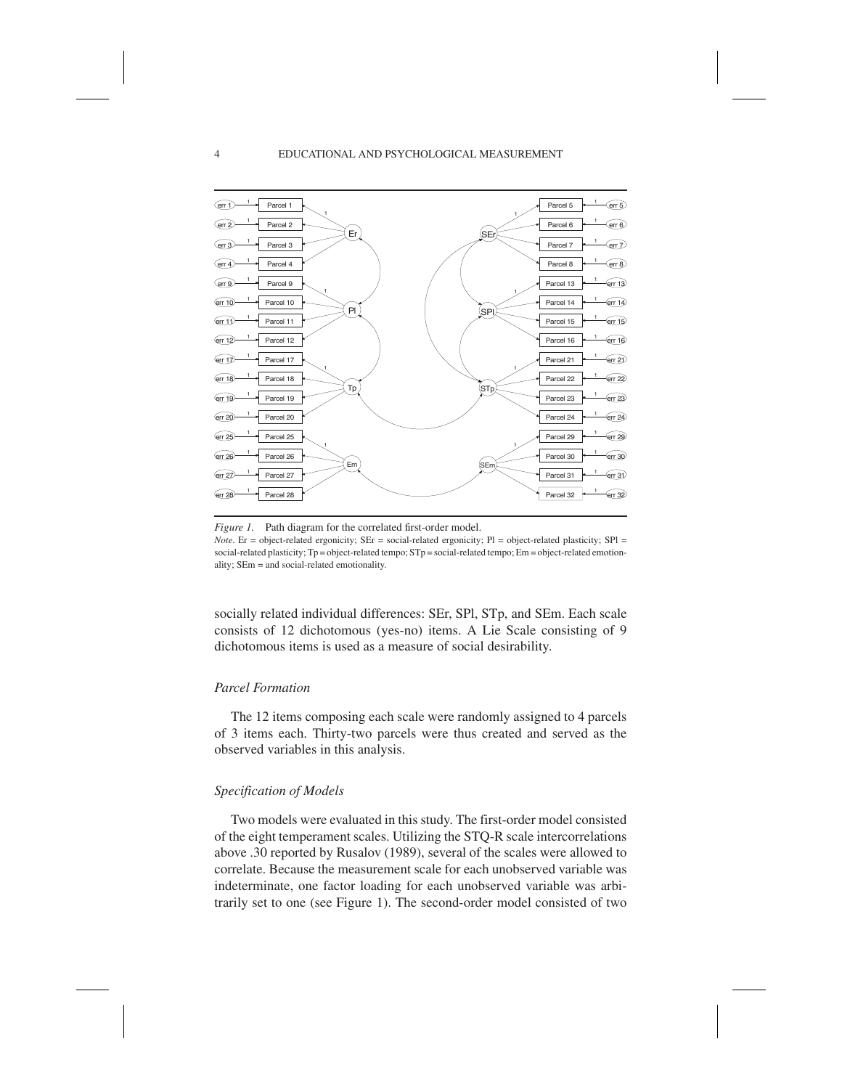#### 4 EDUCATIONAL AND PSYCHOLOGICAL MEASUREMENT



*Figure 1.* Path diagram for the correlated first-order model.

*Note*. Er = object-related ergonicity; SEr = social-related ergonicity; Pl = object-related plasticity; SPl = social-related plasticity; Tp = object-related tempo; STp = social-related tempo; Em = object-related emotionality; SEm = and social-related emotionality.

socially related individual differences: SEr, SPl, STp, and SEm. Each scale consists of 12 dichotomous (yes-no) items. A Lie Scale consisting of 9 dichotomous items is used as a measure of social desirability.

# *Parcel Formation*

The 12 items composing each scale were randomly assigned to 4 parcels of 3 items each. Thirty-two parcels were thus created and served as the observed variables in this analysis.

## *Specification of Models*

Two models were evaluated in this study. The first-order model consisted of the eight temperament scales. Utilizing the STQ-R scale intercorrelations above .30 reported by Rusalov (1989), several of the scales were allowed to correlate. Because the measurement scale for each unobserved variable was indeterminate, one factor loading for each unobserved variable was arbitrarily set to one (see Figure 1). The second-order model consisted of two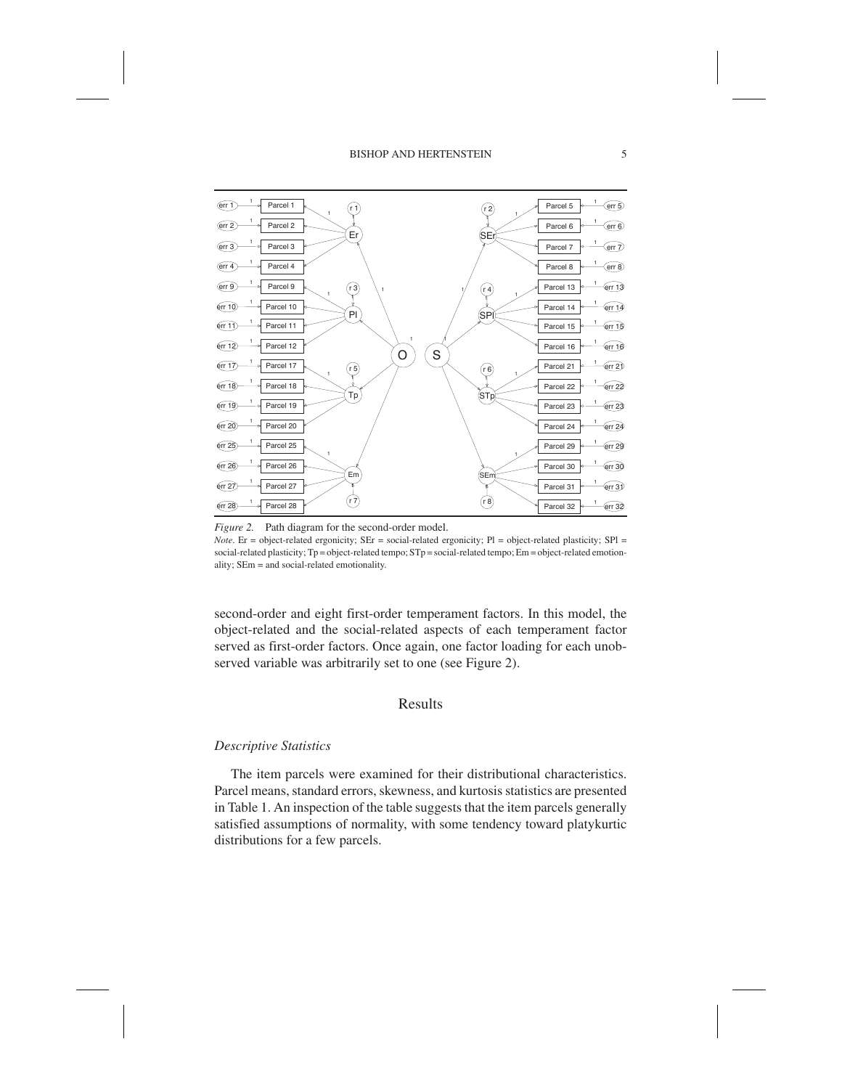



*Note*. Er = object-related ergonicity; SEr = social-related ergonicity; Pl = object-related plasticity; SPl = social-related plasticity; Tp = object-related tempo; STp = social-related tempo; Em = object-related emotionality; SEm = and social-related emotionality.

second-order and eight first-order temperament factors. In this model, the object-related and the social-related aspects of each temperament factor served as first-order factors. Once again, one factor loading for each unobserved variable was arbitrarily set to one (see Figure 2).

# Results

# *Descriptive Statistics*

The item parcels were examined for their distributional characteristics. Parcel means, standard errors, skewness, and kurtosis statistics are presented in Table 1. An inspection of the table suggests that the item parcels generally satisfied assumptions of normality, with some tendency toward platykurtic distributions for a few parcels.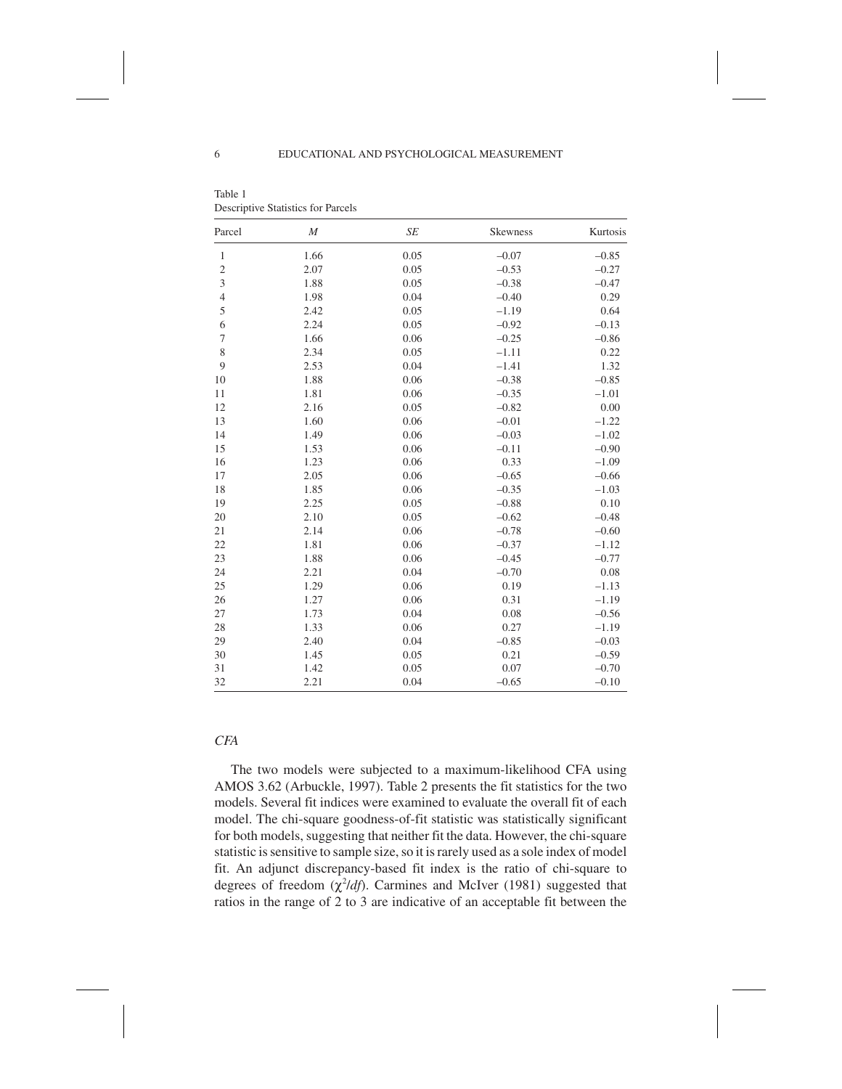## 6 EDUCATIONAL AND PSYCHOLOGICAL MEASUREMENT

| Parcel           | $\cal M$ | $S\hspace{-0.08em}E$ | Skewness | Kurtosis |
|------------------|----------|----------------------|----------|----------|
| $\,1$            | 1.66     | 0.05                 | $-0.07$  | $-0.85$  |
| $\overline{c}$   | 2.07     | 0.05                 | $-0.53$  | $-0.27$  |
| $\overline{3}$   | 1.88     | 0.05                 | $-0.38$  | $-0.47$  |
| $\overline{4}$   | 1.98     | 0.04                 | $-0.40$  | 0.29     |
| 5                | 2.42     | 0.05                 | $-1.19$  | 0.64     |
| 6                | 2.24     | 0.05                 | $-0.92$  | $-0.13$  |
| $\boldsymbol{7}$ | 1.66     | 0.06                 | $-0.25$  | $-0.86$  |
| 8                | 2.34     | 0.05                 | $-1.11$  | 0.22     |
| 9                | 2.53     | 0.04                 | $-1.41$  | 1.32     |
| 10               | 1.88     | 0.06                 | $-0.38$  | $-0.85$  |
| 11               | 1.81     | 0.06                 | $-0.35$  | $-1.01$  |
| 12               | 2.16     | 0.05                 | $-0.82$  | 0.00     |
| 13               | 1.60     | 0.06                 | $-0.01$  | $-1.22$  |
| 14               | 1.49     | 0.06                 | $-0.03$  | $-1.02$  |
| 15               | 1.53     | 0.06                 | $-0.11$  | $-0.90$  |
| 16               | 1.23     | 0.06                 | 0.33     | $-1.09$  |
| 17               | 2.05     | 0.06                 | $-0.65$  | $-0.66$  |
| 18               | 1.85     | 0.06                 | $-0.35$  | $-1.03$  |
| 19               | 2.25     | 0.05                 | $-0.88$  | 0.10     |
| 20               | 2.10     | 0.05                 | $-0.62$  | $-0.48$  |
| 21               | 2.14     | 0.06                 | $-0.78$  | $-0.60$  |
| 22               | 1.81     | 0.06                 | $-0.37$  | $-1.12$  |
| 23               | 1.88     | 0.06                 | $-0.45$  | $-0.77$  |
| 24               | 2.21     | 0.04                 | $-0.70$  | 0.08     |
| 25               | 1.29     | 0.06                 | 0.19     | $-1.13$  |
| 26               | 1.27     | 0.06                 | 0.31     | $-1.19$  |
| 27               | 1.73     | 0.04                 | 0.08     | $-0.56$  |
| 28               | 1.33     | 0.06                 | 0.27     | $-1.19$  |
| 29               | 2.40     | 0.04                 | $-0.85$  | $-0.03$  |
| 30               | 1.45     | 0.05                 | 0.21     | $-0.59$  |
| 31               | 1.42     | 0.05                 | 0.07     | $-0.70$  |
| 32               | 2.21     | 0.04                 | $-0.65$  | $-0.10$  |

| Table 1                                   |
|-------------------------------------------|
| <b>Descriptive Statistics for Parcels</b> |

# *CFA*

The two models were subjected to a maximum-likelihood CFA using AMOS 3.62 (Arbuckle, 1997). Table 2 presents the fit statistics for the two models. Several fit indices were examined to evaluate the overall fit of each model. The chi-square goodness-of-fit statistic was statistically significant for both models, suggesting that neither fit the data. However, the chi-square statistic is sensitive to sample size, so it is rarely used as a sole index of model fit. An adjunct discrepancy-based fit index is the ratio of chi-square to degrees of freedom  $(\chi^2/df)$ . Carmines and McIver (1981) suggested that ratios in the range of 2 to 3 are indicative of an acceptable fit between the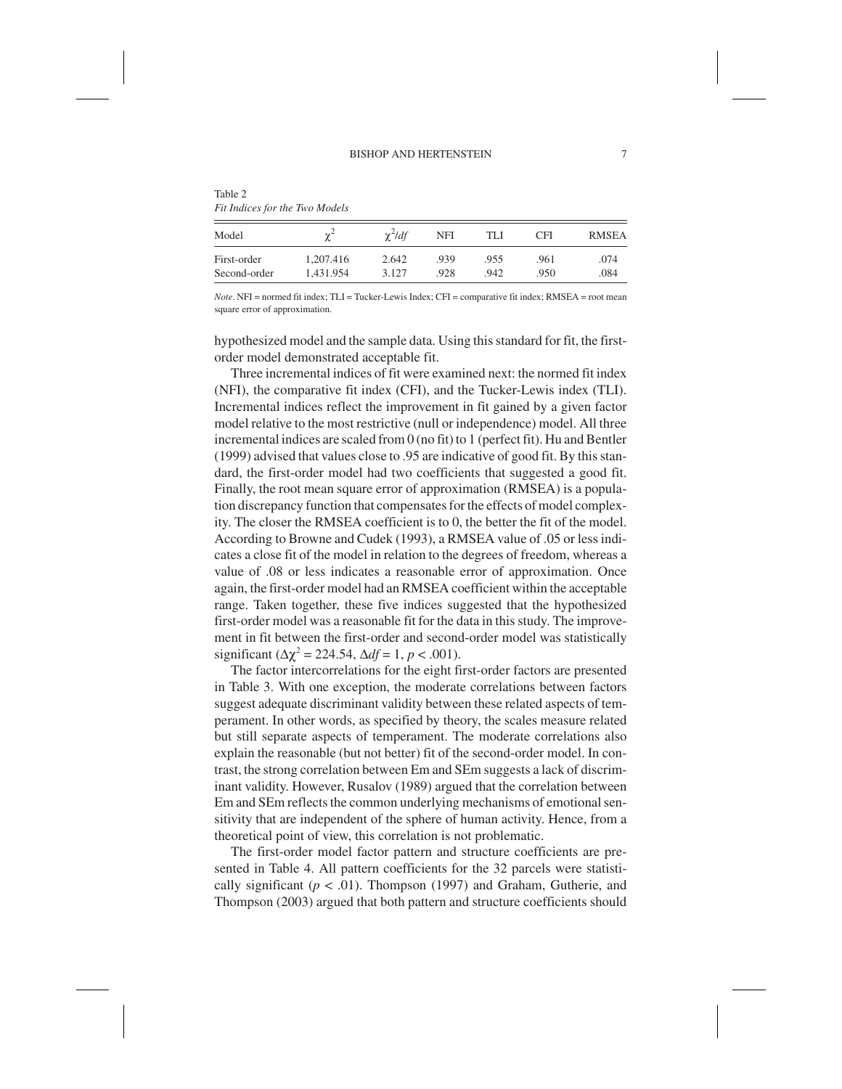Table 2 *Fit Indices for the Two Models*

| Model        | $\sim$    | $\chi^2$ df | NFI  | TLI  | CFI  | <b>RMSEA</b> |
|--------------|-----------|-------------|------|------|------|--------------|
| First-order  | 1.207.416 | 2.642       | .939 | .955 | .961 | .074         |
| Second-order | 1.431.954 | 3.127       | .928 | .942 | .950 | .084         |

*Note*. NFI = normed fit index; TLI = Tucker-Lewis Index; CFI = comparative fit index; RMSEA = root mean square error of approximation.

hypothesized model and the sample data. Using this standard for fit, the firstorder model demonstrated acceptable fit.

Three incremental indices of fit were examined next: the normed fit index (NFI), the comparative fit index (CFI), and the Tucker-Lewis index (TLI). Incremental indices reflect the improvement in fit gained by a given factor model relative to the most restrictive (null or independence) model. All three incremental indices are scaled from 0 (no fit) to 1 (perfect fit). Hu and Bentler (1999) advised that values close to .95 are indicative of good fit. By this standard, the first-order model had two coefficients that suggested a good fit. Finally, the root mean square error of approximation (RMSEA) is a population discrepancy function that compensates for the effects of model complexity. The closer the RMSEA coefficient is to 0, the better the fit of the model. According to Browne and Cudek (1993), a RMSEA value of .05 or less indicates a close fit of the model in relation to the degrees of freedom, whereas a value of .08 or less indicates a reasonable error of approximation. Once again, the first-order model had an RMSEA coefficient within the acceptable range. Taken together, these five indices suggested that the hypothesized first-order model was a reasonable fit for the data in this study. The improvement in fit between the first-order and second-order model was statistically significant ( $\Delta \chi^2 = 224.54$ ,  $\Delta df = 1$ ,  $p < .001$ ).

The factor intercorrelations for the eight first-order factors are presented in Table 3. With one exception, the moderate correlations between factors suggest adequate discriminant validity between these related aspects of temperament. In other words, as specified by theory, the scales measure related but still separate aspects of temperament. The moderate correlations also explain the reasonable (but not better) fit of the second-order model. In contrast, the strong correlation between Em and SEm suggests a lack of discriminant validity. However, Rusalov (1989) argued that the correlation between Em and SEm reflects the common underlying mechanisms of emotional sensitivity that are independent of the sphere of human activity. Hence, from a theoretical point of view, this correlation is not problematic.

The first-order model factor pattern and structure coefficients are presented in Table 4. All pattern coefficients for the 32 parcels were statistically significant  $(p < .01)$ . Thompson (1997) and Graham, Gutherie, and Thompson (2003) argued that both pattern and structure coefficients should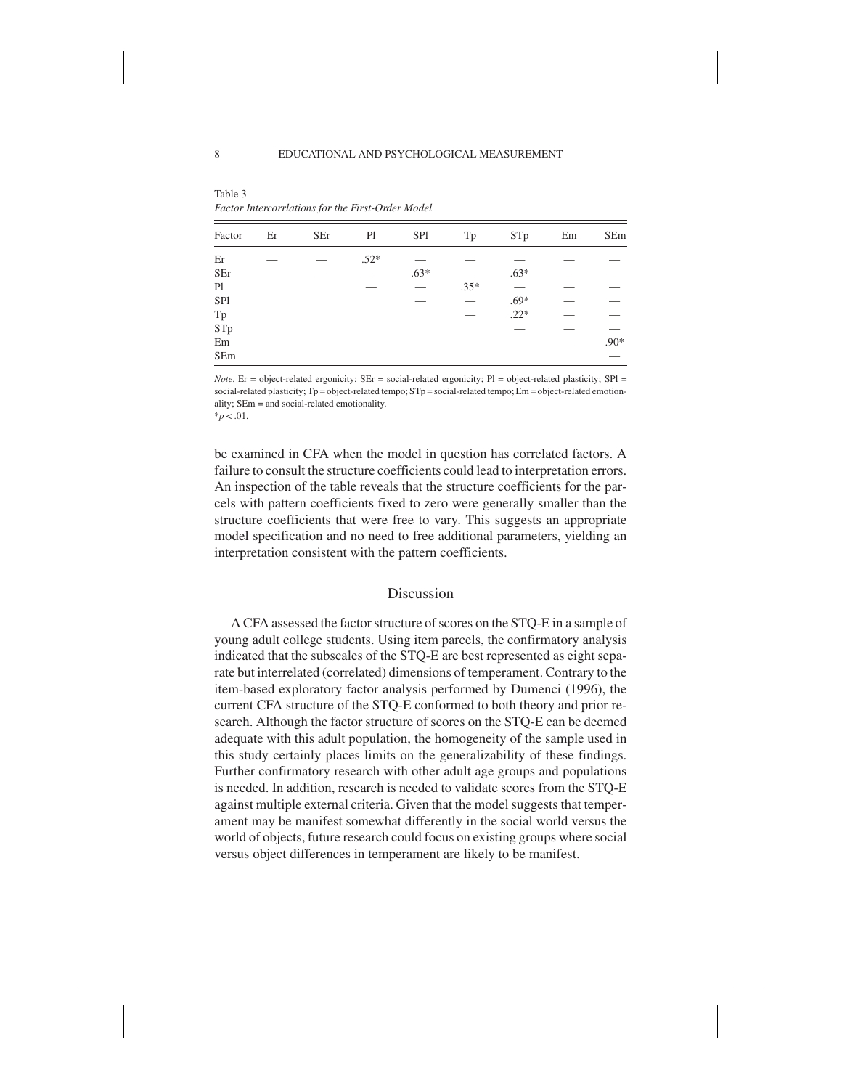Table 3 *Factor Intercorrlations for the First-Order Model*

| Factor     | Er | SEr | Pl     | <b>SPI</b> | Tp     | STp    | Em | SEm    |
|------------|----|-----|--------|------------|--------|--------|----|--------|
| Er         |    |     | $.52*$ |            |        |        |    |        |
| SEr        |    |     |        | $.63*$     |        | $.63*$ |    |        |
| P1         |    |     |        |            | $.35*$ |        |    |        |
| <b>SPI</b> |    |     |        |            |        | $.69*$ |    |        |
| Tp         |    |     |        |            |        | $.22*$ |    |        |
| STp        |    |     |        |            |        |        |    |        |
| Em         |    |     |        |            |        |        |    | $.90*$ |
| SEm        |    |     |        |            |        |        |    |        |

*Note*. Er = object-related ergonicity; SEr = social-related ergonicity; Pl = object-related plasticity; SPl = social-related plasticity; Tp = object-related tempo; STp = social-related tempo; Em = object-related emotionality; SEm = and social-related emotionality.

\**p* < .01.

be examined in CFA when the model in question has correlated factors. A failure to consult the structure coefficients could lead to interpretation errors. An inspection of the table reveals that the structure coefficients for the parcels with pattern coefficients fixed to zero were generally smaller than the structure coefficients that were free to vary. This suggests an appropriate model specification and no need to free additional parameters, yielding an interpretation consistent with the pattern coefficients.

# Discussion

A CFA assessed the factor structure of scores on the STQ-E in a sample of young adult college students. Using item parcels, the confirmatory analysis indicated that the subscales of the STQ-E are best represented as eight separate but interrelated (correlated) dimensions of temperament. Contrary to the item-based exploratory factor analysis performed by Dumenci (1996), the current CFA structure of the STQ-E conformed to both theory and prior research. Although the factor structure of scores on the STQ-E can be deemed adequate with this adult population, the homogeneity of the sample used in this study certainly places limits on the generalizability of these findings. Further confirmatory research with other adult age groups and populations is needed. In addition, research is needed to validate scores from the STQ-E against multiple external criteria. Given that the model suggests that temperament may be manifest somewhat differently in the social world versus the world of objects, future research could focus on existing groups where social versus object differences in temperament are likely to be manifest.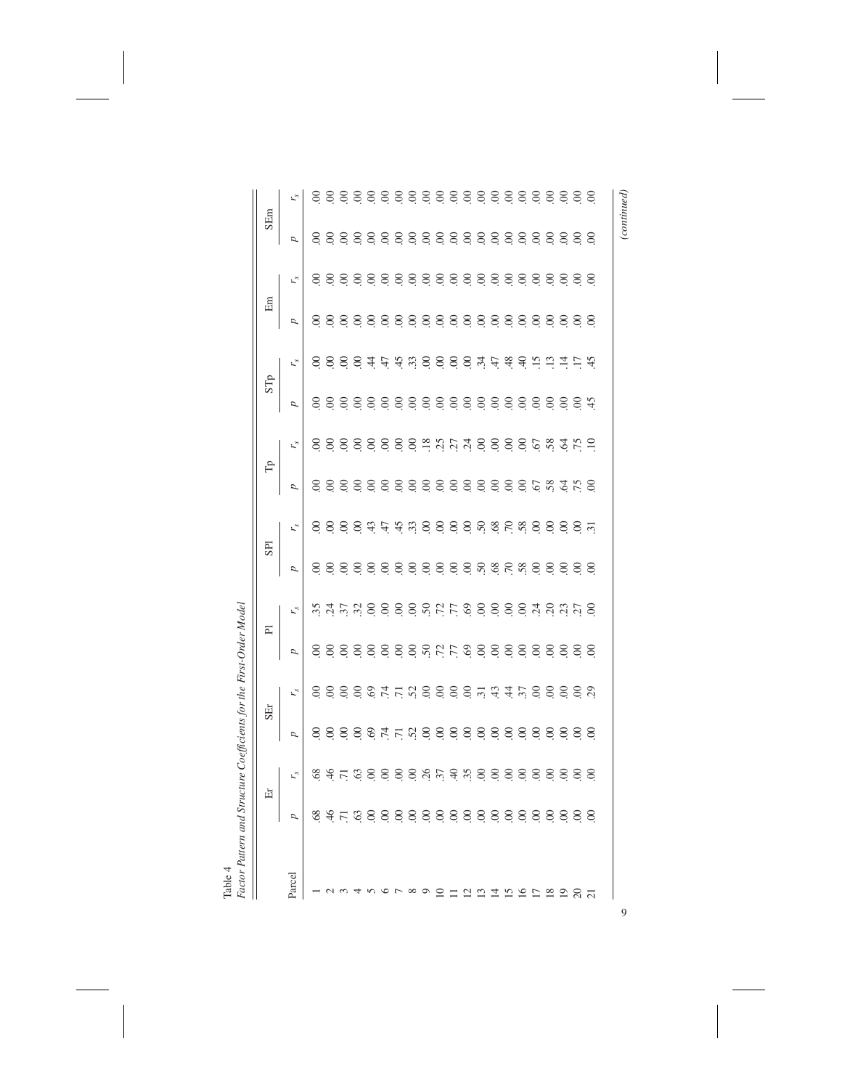| 8888888888<br>8888<br>8 8 8 8 8 8 8 8 7 7 7 8 8 8 8 6 7 8 7 9<br>ممبر<br>ح<br>8<br>8<br>8<br>888<br>$\mathcal{S}$<br>p<br>ىم<br>8 8 8 8 8 8 8 8 8 8 8 8 9 8 9 8 9 8<br>p<br>ىم<br>8 8 8 8 8 8 8 8 9 1; 1; 8 8 8 8 8 8 8 8<br>p<br>8888845888885445888<br>r,<br>8 8 8 8 8 7 5 7 8 8 8 8 8 8 8 8 8 8<br>p<br>8 \$ 5 8 8 8 8 8 8 9 9 9 8 8 8 8 8 8 8 8<br>$r_s$<br>p<br>Parcel<br>567890111日はち10日2021<br>↤ | 88888888858858<br>8 8 8 8 4 4 4 5 8 8 8 8 9 8 9 8 9 8 8 9<br>88 | Fp | STp                    | Em             | SEm                                   |
|---------------------------------------------------------------------------------------------------------------------------------------------------------------------------------------------------------------------------------------------------------------------------------------------------------------------------------------------------------------------------------------------------------|-----------------------------------------------------------------|----|------------------------|----------------|---------------------------------------|
|                                                                                                                                                                                                                                                                                                                                                                                                         |                                                                 |    | ممبر<br>ح<br>p         | $r_s$<br>p     | p                                     |
|                                                                                                                                                                                                                                                                                                                                                                                                         |                                                                 |    | 8                      |                |                                       |
|                                                                                                                                                                                                                                                                                                                                                                                                         |                                                                 |    | 888844488888#4444<br>8 | 88             | 8 8 8 8 8 8 8 8 8 8 8 8 8 8 8 8 8 8 8 |
|                                                                                                                                                                                                                                                                                                                                                                                                         |                                                                 |    |                        | 88888888888888 |                                       |
|                                                                                                                                                                                                                                                                                                                                                                                                         |                                                                 |    |                        |                |                                       |
|                                                                                                                                                                                                                                                                                                                                                                                                         |                                                                 |    |                        |                |                                       |
|                                                                                                                                                                                                                                                                                                                                                                                                         |                                                                 |    |                        |                |                                       |
|                                                                                                                                                                                                                                                                                                                                                                                                         |                                                                 |    | $\infty$               |                |                                       |
|                                                                                                                                                                                                                                                                                                                                                                                                         |                                                                 |    |                        |                |                                       |
|                                                                                                                                                                                                                                                                                                                                                                                                         |                                                                 |    |                        |                |                                       |
|                                                                                                                                                                                                                                                                                                                                                                                                         |                                                                 |    |                        |                |                                       |
|                                                                                                                                                                                                                                                                                                                                                                                                         |                                                                 |    |                        |                |                                       |
|                                                                                                                                                                                                                                                                                                                                                                                                         |                                                                 |    |                        |                |                                       |
|                                                                                                                                                                                                                                                                                                                                                                                                         |                                                                 |    |                        |                |                                       |
|                                                                                                                                                                                                                                                                                                                                                                                                         |                                                                 |    |                        |                |                                       |
|                                                                                                                                                                                                                                                                                                                                                                                                         |                                                                 |    |                        |                |                                       |
|                                                                                                                                                                                                                                                                                                                                                                                                         |                                                                 |    |                        |                |                                       |
|                                                                                                                                                                                                                                                                                                                                                                                                         |                                                                 |    |                        |                |                                       |
|                                                                                                                                                                                                                                                                                                                                                                                                         |                                                                 |    | $\infty$               | $\rm{C}$       |                                       |
| 88                                                                                                                                                                                                                                                                                                                                                                                                      |                                                                 |    | 8                      | 8              |                                       |
| 88<br>88<br>8 ನಿ<br>88                                                                                                                                                                                                                                                                                                                                                                                  |                                                                 |    | $\overline{17}$<br>8   | 88             | 88                                    |
| 8                                                                                                                                                                                                                                                                                                                                                                                                       |                                                                 |    | $\frac{4}{5}$<br>45    |                |                                       |

Table 4

9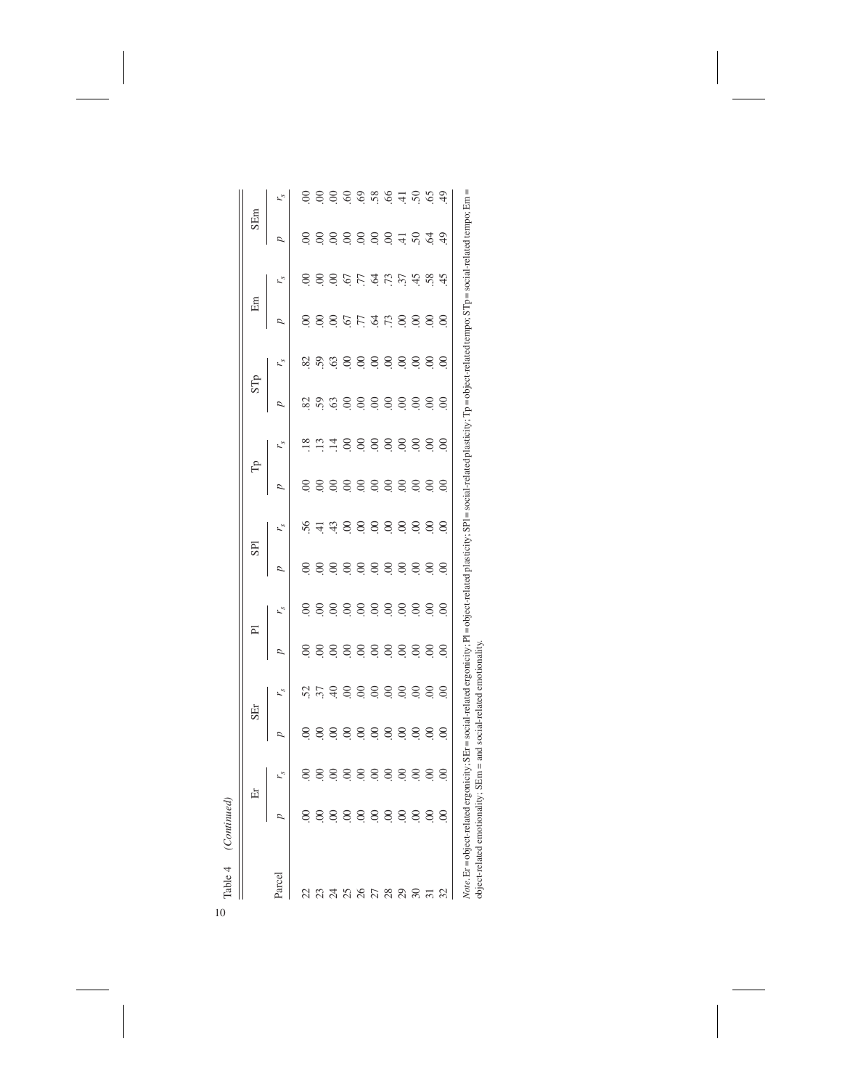|                |          | 卣        |          | SEr             | ᇎ         |          | <b>SPI</b> |                | Tp       |                 | STp            |          | Еm       |                | SEm            |                |
|----------------|----------|----------|----------|-----------------|-----------|----------|------------|----------------|----------|-----------------|----------------|----------|----------|----------------|----------------|----------------|
| Parcel         | Þ        | $\zeta$  | d        | Ľ               | Þ         | Ľ        | p          | Ľ              | p        | Ľ               | Þ              | Ľ        | d        | Ľ              | d              | Ľ              |
| 25             | 8        | $\infty$ | $\infty$ | 52              | 8         | $\infty$ | $\infty$   | 56             | $\infty$ | 18              | 82             | 82       | 8        | $\overline{0}$ | $\infty$       | 8              |
| Z              | $\rm{C}$ | $\infty$ | $\infty$ | 37              | 8         | $\infty$ | $\infty$   | $\overline{4}$ | $\infty$ | 13              | 59             | 59       | $\infty$ | $\infty$       | 8              | $\rm{C}$       |
|                | $\odot$  | $\infty$ | $\infty$ | $\overline{40}$ | $\infty$  | $\infty$ | $\infty$   | 43             | $\odot$  | $\overline{14}$ | 63             | 63       | $\infty$ | $\infty$       | 8              | $\odot$        |
| 24.88          | $\odot$  | $\infty$ | $\infty$ | $\odot$         | $\infty$  | $\infty$ | $\odot$    | $\odot$        | $\infty$ | $\overline{0}$  | $\overline{0}$ | $\infty$ | 67       | 67             | 8              | 3              |
|                | $\rm{C}$ | $\infty$ | $\infty$ | $\rm{C}$        | $\infty$  | $\infty$ | $\infty$   | $\infty$       | $\rm{C}$ | $\infty$        | $\infty$       | $\infty$ | 77       | 77             | $\infty$       | 69             |
|                | $\odot$  | $\infty$ | $\infty$ | $\odot$         | $\infty$  | $\infty$ | $\infty$   | $\infty$       | $\odot$  | $\infty$        | $\infty$       | $\infty$ | 64       | 64             | $\odot$        |                |
| 278            | $\odot$  | $\infty$ | $\infty$ | $\infty$        | $\infty$  | $\infty$ | $\odot$    | $\infty$       | $\infty$ | $\infty$        | $\infty$       | $\infty$ | 73       | 73             | $\infty$       | 58             |
|                | $\infty$ | $\infty$ | $\infty$ | $\infty$        | $\infty$  | $\infty$ | $\infty$   | $\infty$       | $\infty$ | $\infty$        | $\overline{0}$ | $\infty$ | $\infty$ | 37             | $\overline{4}$ | $\overline{4}$ |
| 29             | $\infty$ | $\infty$ | $\infty$ | $\infty$        | $\otimes$ | $\odot$  | $\odot$    | $\odot$        | $\odot$  | $\infty$        | $\infty$       | $\infty$ | $\odot$  | 45             | 50             |                |
| $\overline{5}$ | $\infty$ | $\infty$ | $\odot$  | $\overline{0}$  | $\infty$  | $\odot$  | $\odot$    | $\infty$       | $\odot$  | $\overline{0}$  | $\overline{0}$ | $\infty$ | $\infty$ | 58             | $\mathfrak{L}$ | 50             |
| 32             | $\infty$ | S        | S        | $\overline{0}$  | $\infty$  | $\infty$ | $\infty$   | $\infty$       | $\odot$  | $\infty$        | $\infty$       | $\infty$ | $\infty$ | 45             | 49             | 49             |

*Note*. Er = object-related ergonicity; SEr = social-related ergonicity; Pl = object-related plasticity; SPl = social-related plasticity; Tp = object-related tempo; STp = social-related tempo; Em =  $\frac{1}{2}$  $\frac{1}{1}$ po.<br>T p<br>D  $uy, 1p=0$  $\mathbf{r}$ ity;  $\mathbf{r}$ pu<br>D AVICE LA – DUJOCET CIARCA CISOLINEA Y, OLA – SOCIAT TORRO CHE OTHER ADDITIONALE CONSECTED AND CONSECUTE AND SOCIAL-TE LATE OF MODIVALITY. object-related emotionality; SEm = and social-related emotionality.

10 Table 4

*(Continued)*